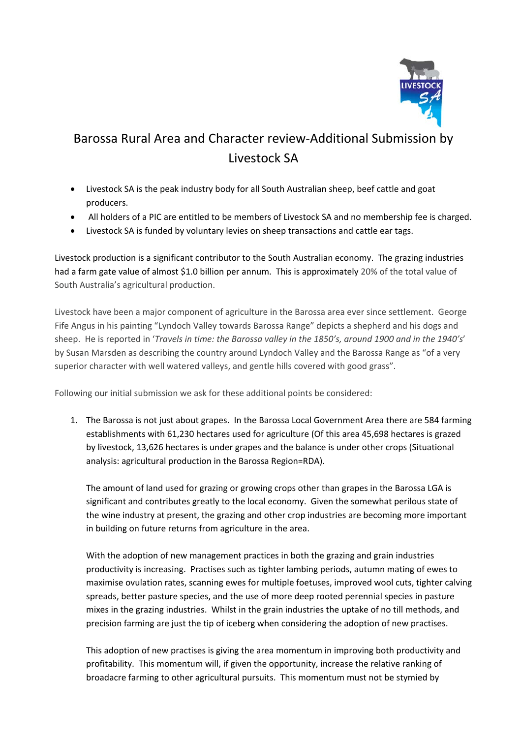

## Barossa Rural Area and Character review‐Additional Submission by Livestock SA

- Livestock SA is the peak industry body for all South Australian sheep, beef cattle and goat producers.
- All holders of a PIC are entitled to be members of Livestock SA and no membership fee is charged.
- Livestock SA is funded by voluntary levies on sheep transactions and cattle ear tags.

Livestock production is a significant contributor to the South Australian economy. The grazing industries had a farm gate value of almost \$1.0 billion per annum. This is approximately 20% of the total value of South Australia's agricultural production.

Livestock have been a major component of agriculture in the Barossa area ever since settlement. George Fife Angus in his painting "Lyndoch Valley towards Barossa Range" depicts a shepherd and his dogs and sheep. He is reported in '*Travels in time: the Barossa valley in the 1850's, around 1900 and in the 1940's*' by Susan Marsden as describing the country around Lyndoch Valley and the Barossa Range as "of a very superior character with well watered valleys, and gentle hills covered with good grass".

Following our initial submission we ask for these additional points be considered:

1. The Barossa is not just about grapes. In the Barossa Local Government Area there are 584 farming establishments with 61,230 hectares used for agriculture (Of this area 45,698 hectares is grazed by livestock, 13,626 hectares is under grapes and the balance is under other crops (Situational analysis: agricultural production in the Barossa Region=RDA).

The amount of land used for grazing or growing crops other than grapes in the Barossa LGA is significant and contributes greatly to the local economy. Given the somewhat perilous state of the wine industry at present, the grazing and other crop industries are becoming more important in building on future returns from agriculture in the area.

With the adoption of new management practices in both the grazing and grain industries productivity is increasing. Practises such as tighter lambing periods, autumn mating of ewes to maximise ovulation rates, scanning ewes for multiple foetuses, improved wool cuts, tighter calving spreads, better pasture species, and the use of more deep rooted perennial species in pasture mixes in the grazing industries. Whilst in the grain industries the uptake of no till methods, and precision farming are just the tip of iceberg when considering the adoption of new practises.

This adoption of new practises is giving the area momentum in improving both productivity and profitability. This momentum will, if given the opportunity, increase the relative ranking of broadacre farming to other agricultural pursuits. This momentum must not be stymied by